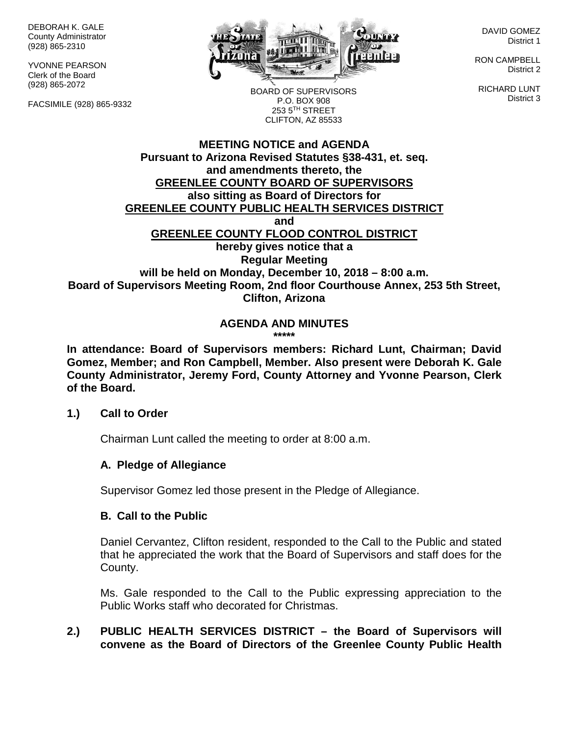DEBORAH K. GALE County Administrator (928) 865-2310

YVONNE PEARSON Clerk of the Board (928) 865-2072

FACSIMILE (928) 865-9332



DAVID GOMEZ District 1

RON CAMPBELL District 2

RICHARD LUNT District 3

BOARD OF SUPERVISORS P.O. BOX 908 253 5TH STREET CLIFTON, AZ 85533

#### **MEETING NOTICE and AGENDA Pursuant to Arizona Revised Statutes §38-431, et. seq. and amendments thereto, the GREENLEE COUNTY BOARD OF SUPERVISORS also sitting as Board of Directors for GREENLEE COUNTY PUBLIC HEALTH SERVICES DISTRICT and GREENLEE COUNTY FLOOD CONTROL DISTRICT hereby gives notice that a Regular Meeting will be held on Monday, December 10, 2018 – 8:00 a.m. Board of Supervisors Meeting Room, 2nd floor Courthouse Annex, 253 5th Street, Clifton, Arizona**

#### **AGENDA AND MINUTES \*\*\*\*\***

**In attendance: Board of Supervisors members: Richard Lunt, Chairman; David Gomez, Member; and Ron Campbell, Member. Also present were Deborah K. Gale County Administrator, Jeremy Ford, County Attorney and Yvonne Pearson, Clerk of the Board.**

# **1.) Call to Order**

Chairman Lunt called the meeting to order at 8:00 a.m.

# **A. Pledge of Allegiance**

Supervisor Gomez led those present in the Pledge of Allegiance.

# **B. Call to the Public**

Daniel Cervantez, Clifton resident, responded to the Call to the Public and stated that he appreciated the work that the Board of Supervisors and staff does for the County.

Ms. Gale responded to the Call to the Public expressing appreciation to the Public Works staff who decorated for Christmas.

# **2.) PUBLIC HEALTH SERVICES DISTRICT – the Board of Supervisors will convene as the Board of Directors of the Greenlee County Public Health**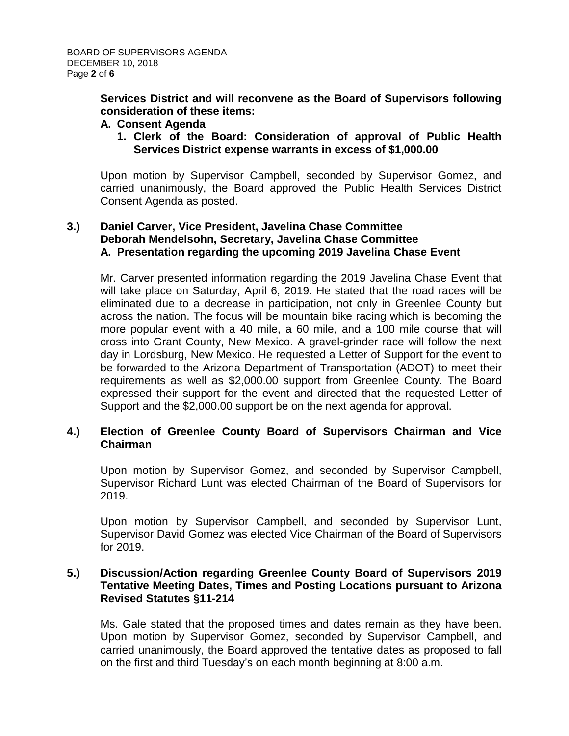**Services District and will reconvene as the Board of Supervisors following consideration of these items:**

#### **A. Consent Agenda**

**1. Clerk of the Board: Consideration of approval of Public Health Services District expense warrants in excess of \$1,000.00**

Upon motion by Supervisor Campbell, seconded by Supervisor Gomez, and carried unanimously, the Board approved the Public Health Services District Consent Agenda as posted.

# **3.) Daniel Carver, Vice President, Javelina Chase Committee Deborah Mendelsohn, Secretary, Javelina Chase Committee A. Presentation regarding the upcoming 2019 Javelina Chase Event**

Mr. Carver presented information regarding the 2019 Javelina Chase Event that will take place on Saturday, April 6, 2019. He stated that the road races will be eliminated due to a decrease in participation, not only in Greenlee County but across the nation. The focus will be mountain bike racing which is becoming the more popular event with a 40 mile, a 60 mile, and a 100 mile course that will cross into Grant County, New Mexico. A gravel-grinder race will follow the next day in Lordsburg, New Mexico. He requested a Letter of Support for the event to be forwarded to the Arizona Department of Transportation (ADOT) to meet their requirements as well as \$2,000.00 support from Greenlee County. The Board expressed their support for the event and directed that the requested Letter of Support and the \$2,000.00 support be on the next agenda for approval.

# **4.) Election of Greenlee County Board of Supervisors Chairman and Vice Chairman**

Upon motion by Supervisor Gomez, and seconded by Supervisor Campbell, Supervisor Richard Lunt was elected Chairman of the Board of Supervisors for 2019.

Upon motion by Supervisor Campbell, and seconded by Supervisor Lunt, Supervisor David Gomez was elected Vice Chairman of the Board of Supervisors for 2019.

# **5.) Discussion/Action regarding Greenlee County Board of Supervisors 2019 Tentative Meeting Dates, Times and Posting Locations pursuant to Arizona Revised Statutes §11-214**

Ms. Gale stated that the proposed times and dates remain as they have been. Upon motion by Supervisor Gomez, seconded by Supervisor Campbell, and carried unanimously, the Board approved the tentative dates as proposed to fall on the first and third Tuesday's on each month beginning at 8:00 a.m.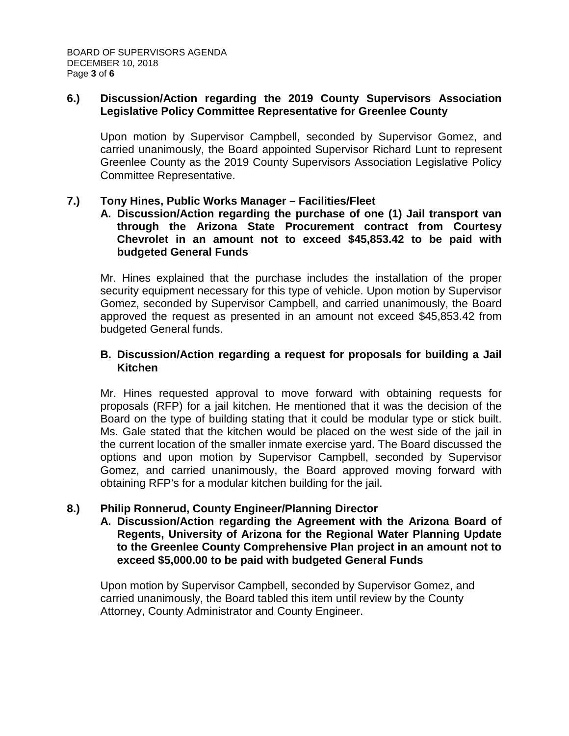# **6.) Discussion/Action regarding the 2019 County Supervisors Association Legislative Policy Committee Representative for Greenlee County**

Upon motion by Supervisor Campbell, seconded by Supervisor Gomez, and carried unanimously, the Board appointed Supervisor Richard Lunt to represent Greenlee County as the 2019 County Supervisors Association Legislative Policy Committee Representative.

# **7.) Tony Hines, Public Works Manager – Facilities/Fleet**

**A. Discussion/Action regarding the purchase of one (1) Jail transport van through the Arizona State Procurement contract from Courtesy Chevrolet in an amount not to exceed \$45,853.42 to be paid with budgeted General Funds**

Mr. Hines explained that the purchase includes the installation of the proper security equipment necessary for this type of vehicle. Upon motion by Supervisor Gomez, seconded by Supervisor Campbell, and carried unanimously, the Board approved the request as presented in an amount not exceed \$45,853.42 from budgeted General funds.

# **B. Discussion/Action regarding a request for proposals for building a Jail Kitchen**

Mr. Hines requested approval to move forward with obtaining requests for proposals (RFP) for a jail kitchen. He mentioned that it was the decision of the Board on the type of building stating that it could be modular type or stick built. Ms. Gale stated that the kitchen would be placed on the west side of the jail in the current location of the smaller inmate exercise yard. The Board discussed the options and upon motion by Supervisor Campbell, seconded by Supervisor Gomez, and carried unanimously, the Board approved moving forward with obtaining RFP's for a modular kitchen building for the jail.

# **8.) Philip Ronnerud, County Engineer/Planning Director**

**A. Discussion/Action regarding the Agreement with the Arizona Board of Regents, University of Arizona for the Regional Water Planning Update to the Greenlee County Comprehensive Plan project in an amount not to exceed \$5,000.00 to be paid with budgeted General Funds**

Upon motion by Supervisor Campbell, seconded by Supervisor Gomez, and carried unanimously, the Board tabled this item until review by the County Attorney, County Administrator and County Engineer.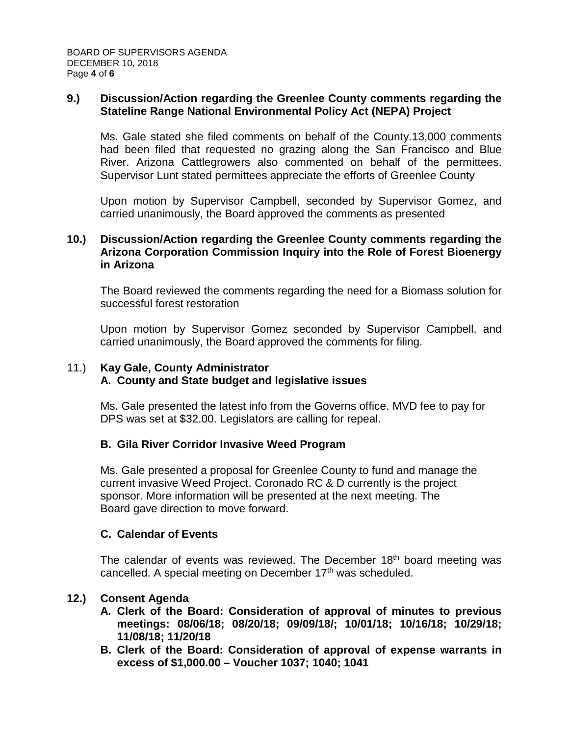### **9.) Discussion/Action regarding the Greenlee County comments regarding the Stateline Range National Environmental Policy Act (NEPA) Project**

Ms. Gale stated she filed comments on behalf of the County.13,000 comments had been filed that requested no grazing along the San Francisco and Blue River. Arizona Cattlegrowers also commented on behalf of the permittees. Supervisor Lunt stated permittees appreciate the efforts of Greenlee County

Upon motion by Supervisor Campbell, seconded by Supervisor Gomez, and carried unanimously, the Board approved the comments as presented

# **10.) Discussion/Action regarding the Greenlee County comments regarding the Arizona Corporation Commission Inquiry into the Role of Forest Bioenergy in Arizona**

The Board reviewed the comments regarding the need for a Biomass solution for successful forest restoration

Upon motion by Supervisor Gomez seconded by Supervisor Campbell, and carried unanimously, the Board approved the comments for filing.

# 11.) **Kay Gale, County Administrator**

# **A. County and State budget and legislative issues**

Ms. Gale presented the latest info from the Governs office. MVD fee to pay for DPS was set at \$32.00. Legislators are calling for repeal.

# **B. Gila River Corridor Invasive Weed Program**

Ms. Gale presented a proposal for Greenlee County to fund and manage the current invasive Weed Project. Coronado RC & D currently is the project sponsor. More information will be presented at the next meeting. The Board gave direction to move forward.

# **C. Calendar of Events**

The calendar of events was reviewed. The December 18<sup>th</sup> board meeting was cancelled. A special meeting on December 17<sup>th</sup> was scheduled.

# **12.) Consent Agenda**

- **A. Clerk of the Board: Consideration of approval of minutes to previous meetings: 08/06/18; 08/20/18; 09/09/18/; 10/01/18; 10/16/18; 10/29/18; 11/08/18; 11/20/18**
- **B. Clerk of the Board: Consideration of approval of expense warrants in excess of \$1,000.00 – Voucher 1037; 1040; 1041**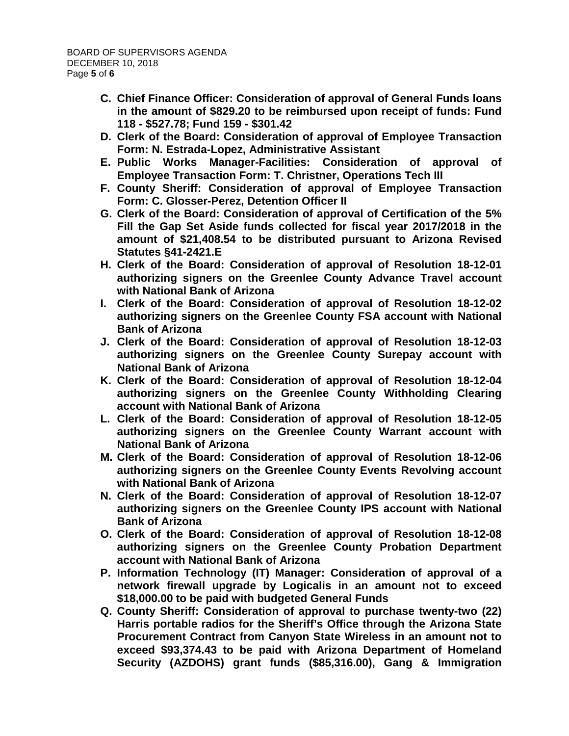- **C. Chief Finance Officer: Consideration of approval of General Funds loans in the amount of \$829.20 to be reimbursed upon receipt of funds: Fund 118 - \$527.78; Fund 159 - \$301.42**
- **D. Clerk of the Board: Consideration of approval of Employee Transaction Form: N. Estrada-Lopez, Administrative Assistant**
- **E. Public Works Manager-Facilities: Consideration of approval of Employee Transaction Form: T. Christner, Operations Tech III**
- **F. County Sheriff: Consideration of approval of Employee Transaction Form: C. Glosser-Perez, Detention Officer II**
- **G. Clerk of the Board: Consideration of approval of Certification of the 5% Fill the Gap Set Aside funds collected for fiscal year 2017/2018 in the amount of \$21,408.54 to be distributed pursuant to Arizona Revised Statutes §41-2421.E**
- **H. Clerk of the Board: Consideration of approval of Resolution 18-12-01 authorizing signers on the Greenlee County Advance Travel account with National Bank of Arizona**
- **I. Clerk of the Board: Consideration of approval of Resolution 18-12-02 authorizing signers on the Greenlee County FSA account with National Bank of Arizona**
- **J. Clerk of the Board: Consideration of approval of Resolution 18-12-03 authorizing signers on the Greenlee County Surepay account with National Bank of Arizona**
- **K. Clerk of the Board: Consideration of approval of Resolution 18-12-04 authorizing signers on the Greenlee County Withholding Clearing account with National Bank of Arizona**
- **L. Clerk of the Board: Consideration of approval of Resolution 18-12-05 authorizing signers on the Greenlee County Warrant account with National Bank of Arizona**
- **M. Clerk of the Board: Consideration of approval of Resolution 18-12-06 authorizing signers on the Greenlee County Events Revolving account with National Bank of Arizona**
- **N. Clerk of the Board: Consideration of approval of Resolution 18-12-07 authorizing signers on the Greenlee County IPS account with National Bank of Arizona**
- **O. Clerk of the Board: Consideration of approval of Resolution 18-12-08 authorizing signers on the Greenlee County Probation Department account with National Bank of Arizona**
- **P. Information Technology (IT) Manager: Consideration of approval of a network firewall upgrade by Logicalis in an amount not to exceed \$18,000.00 to be paid with budgeted General Funds**
- **Q. County Sheriff: Consideration of approval to purchase twenty-two (22) Harris portable radios for the Sheriff's Office through the Arizona State Procurement Contract from Canyon State Wireless in an amount not to exceed \$93,374.43 to be paid with Arizona Department of Homeland Security (AZDOHS) grant funds (\$85,316.00), Gang & Immigration**